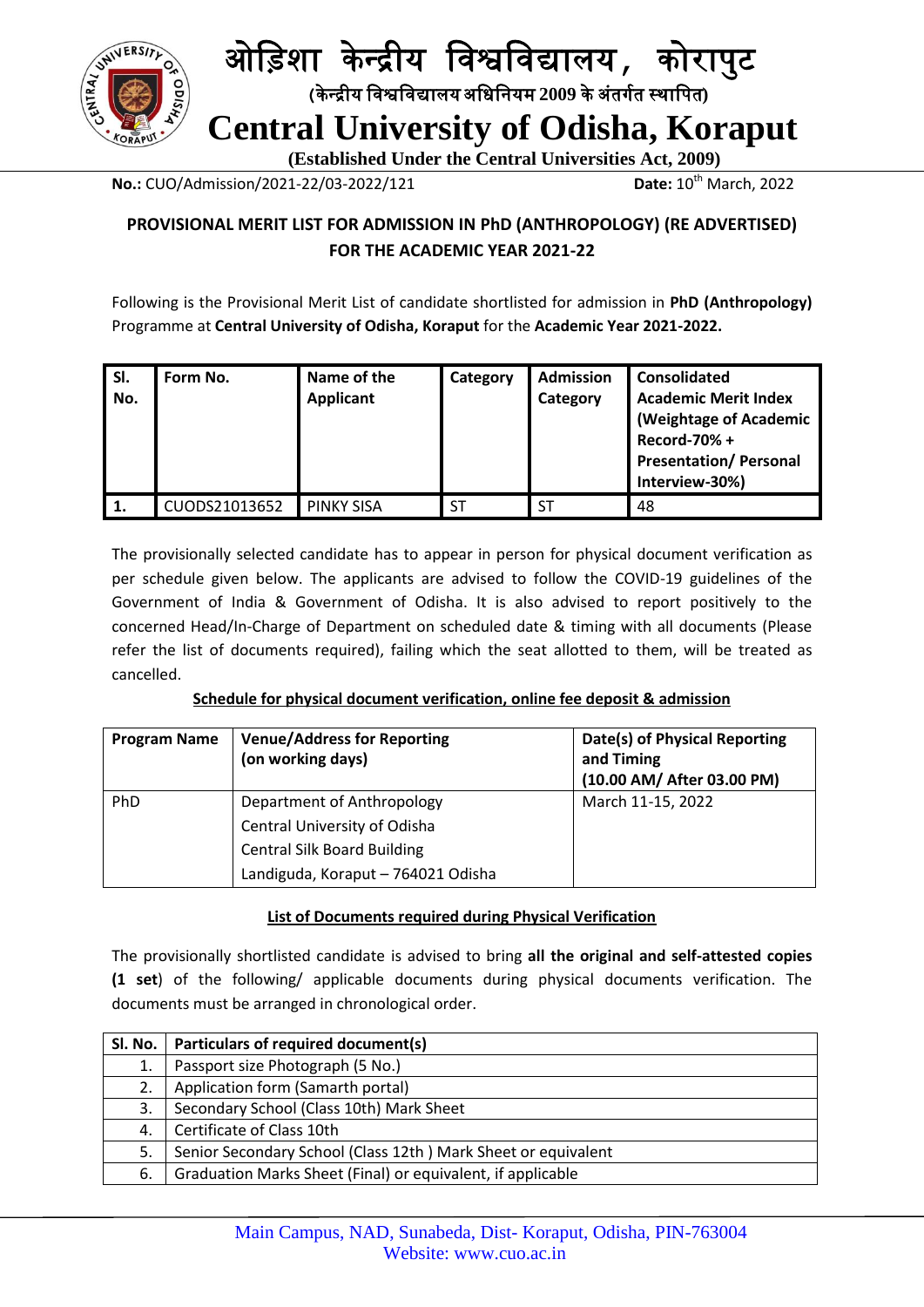

## ओड़िशा के न्द्रीय ड़िश्वड़िद्यालय**,** कोरापुट  **(**के न्द्रीय ड़िश्वड़िद्यालयअड़िड़ियम **2009** केअंतर्गत स्थाड़पत**) Central University of Odisha, Koraput**

 **(Established Under the Central Universities Act, 2009)**

**No.:** CUO/Admission/2021-22/03-2022/121 **Date:** 10<sup>th</sup> March, 2022

### **PROVISIONAL MERIT LIST FOR ADMISSION IN PhD (ANTHROPOLOGY) (RE ADVERTISED) FOR THE ACADEMIC YEAR 2021-22**

Following is the Provisional Merit List of candidate shortlisted for admission in **PhD (Anthropology)** Programme at **Central University of Odisha, Koraput** for the **Academic Year 2021-2022.**

| SI.<br>No. | Form No.      | Name of the<br><b>Applicant</b> | Category  | <b>Admission</b><br>Category | <b>Consolidated</b><br><b>Academic Merit Index</b><br>(Weightage of Academic<br>Record-70% +<br><b>Presentation/Personal</b><br>Interview-30%) |
|------------|---------------|---------------------------------|-----------|------------------------------|------------------------------------------------------------------------------------------------------------------------------------------------|
|            | CUODS21013652 | <b>PINKY SISA</b>               | <b>ST</b> | <b>ST</b>                    | 48                                                                                                                                             |

The provisionally selected candidate has to appear in person for physical document verification as per schedule given below. The applicants are advised to follow the COVID-19 guidelines of the Government of India & Government of Odisha. It is also advised to report positively to the concerned Head/In-Charge of Department on scheduled date & timing with all documents (Please refer the list of documents required), failing which the seat allotted to them, will be treated as cancelled.

|--|

| <b>Program Name</b> | <b>Venue/Address for Reporting</b><br>(on working days) | Date(s) of Physical Reporting<br>and Timing<br>(10.00 AM/ After 03.00 PM) |  |  |
|---------------------|---------------------------------------------------------|---------------------------------------------------------------------------|--|--|
| PhD                 | Department of Anthropology                              | March 11-15, 2022                                                         |  |  |
|                     | Central University of Odisha                            |                                                                           |  |  |
|                     | <b>Central Silk Board Building</b>                      |                                                                           |  |  |
|                     | Landiguda, Koraput - 764021 Odisha                      |                                                                           |  |  |

### **List of Documents required during Physical Verification**

The provisionally shortlisted candidate is advised to bring **all the original and self-attested copies (1 set**) of the following/ applicable documents during physical documents verification. The documents must be arranged in chronological order.

| Sl. No. | Particulars of required document(s)                           |
|---------|---------------------------------------------------------------|
| 1.      | Passport size Photograph (5 No.)                              |
| 2.      | Application form (Samarth portal)                             |
| 3.      | Secondary School (Class 10th) Mark Sheet                      |
| 4.      | Certificate of Class 10th                                     |
| 5.      | Senior Secondary School (Class 12th) Mark Sheet or equivalent |
| 6.      | Graduation Marks Sheet (Final) or equivalent, if applicable   |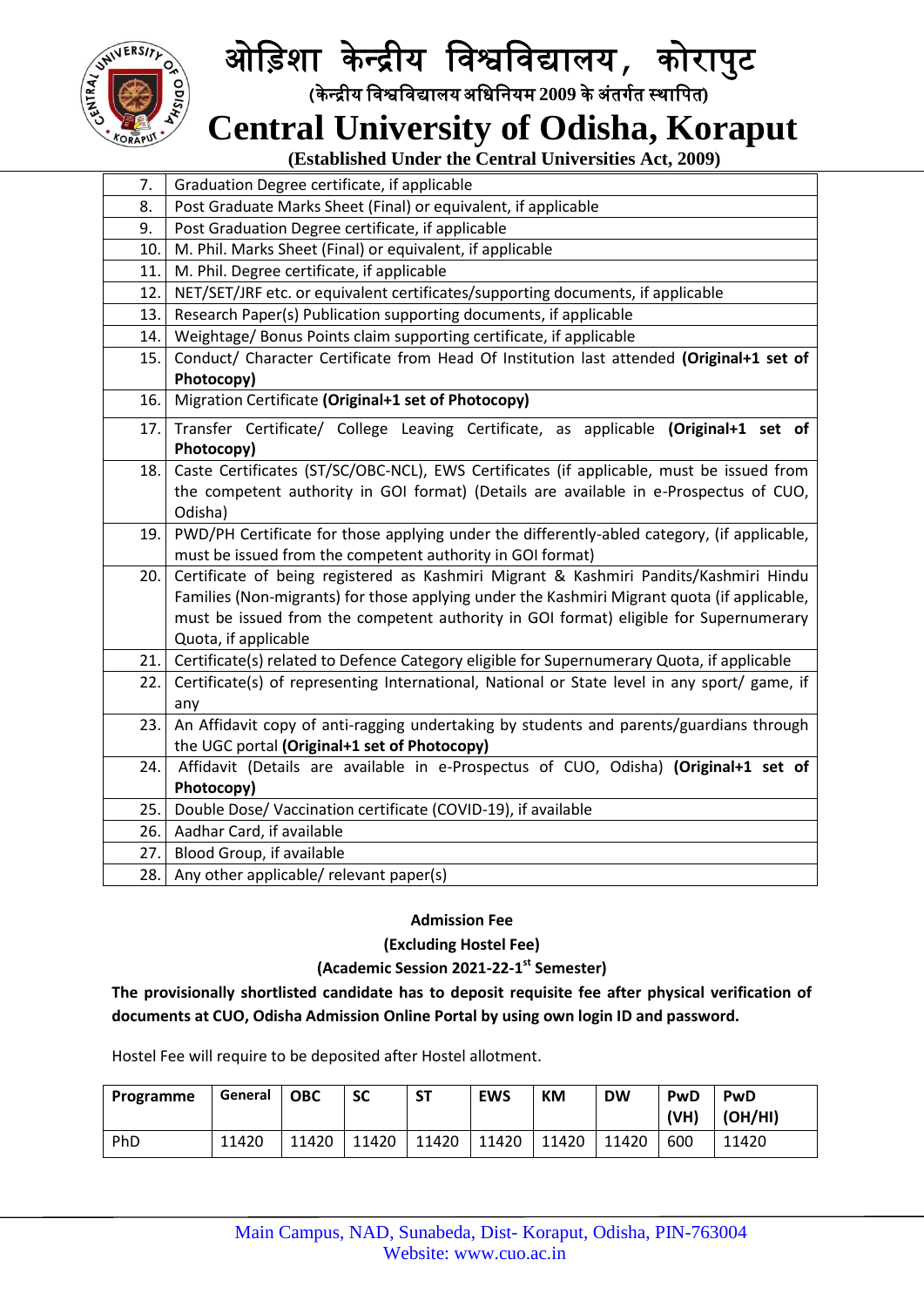

# ओड़िशा के न्द्रीय ड़िश्वड़िद्यालय**,** कोरापुट

 **(**के न्द्रीय ड़िश्वड़िद्यालयअड़िड़ियम **2009** केअंतर्गत स्थाड़पत**)**

## **Central University of Odisha, Koraput**

 **(Established Under the Central Universities Act, 2009)**

| 7.   | Graduation Degree certificate, if applicable                                                 |  |  |  |  |  |
|------|----------------------------------------------------------------------------------------------|--|--|--|--|--|
| 8.   | Post Graduate Marks Sheet (Final) or equivalent, if applicable                               |  |  |  |  |  |
| 9.   | Post Graduation Degree certificate, if applicable                                            |  |  |  |  |  |
| 10.  | M. Phil. Marks Sheet (Final) or equivalent, if applicable                                    |  |  |  |  |  |
| 11.  | M. Phil. Degree certificate, if applicable                                                   |  |  |  |  |  |
| 12.  | NET/SET/JRF etc. or equivalent certificates/supporting documents, if applicable              |  |  |  |  |  |
| 13.  | Research Paper(s) Publication supporting documents, if applicable                            |  |  |  |  |  |
| 14.  | Weightage/ Bonus Points claim supporting certificate, if applicable                          |  |  |  |  |  |
| 15.  | Conduct/ Character Certificate from Head Of Institution last attended (Original+1 set of     |  |  |  |  |  |
|      | Photocopy)                                                                                   |  |  |  |  |  |
| 16.  | Migration Certificate (Original+1 set of Photocopy)                                          |  |  |  |  |  |
| 17.  | Transfer Certificate/ College Leaving Certificate, as applicable (Original+1 set of          |  |  |  |  |  |
|      | Photocopy)                                                                                   |  |  |  |  |  |
| 18.  | Caste Certificates (ST/SC/OBC-NCL), EWS Certificates (if applicable, must be issued from     |  |  |  |  |  |
|      | the competent authority in GOI format) (Details are available in e-Prospectus of CUO,        |  |  |  |  |  |
|      | Odisha)                                                                                      |  |  |  |  |  |
| 19.  | PWD/PH Certificate for those applying under the differently-abled category, (if applicable,  |  |  |  |  |  |
|      | must be issued from the competent authority in GOI format)                                   |  |  |  |  |  |
| 20.1 | Certificate of being registered as Kashmiri Migrant & Kashmiri Pandits/Kashmiri Hindu        |  |  |  |  |  |
|      | Families (Non-migrants) for those applying under the Kashmiri Migrant quota (if applicable,  |  |  |  |  |  |
|      | must be issued from the competent authority in GOI format) eligible for Supernumerary        |  |  |  |  |  |
|      | Quota, if applicable                                                                         |  |  |  |  |  |
| 21.  | Certificate(s) related to Defence Category eligible for Supernumerary Quota, if applicable   |  |  |  |  |  |
| 22.  | Certificate(s) of representing International, National or State level in any sport/ game, if |  |  |  |  |  |
|      | any                                                                                          |  |  |  |  |  |
| 23.  | An Affidavit copy of anti-ragging undertaking by students and parents/guardians through      |  |  |  |  |  |
|      | the UGC portal (Original+1 set of Photocopy)                                                 |  |  |  |  |  |
| 24.  | Affidavit (Details are available in e-Prospectus of CUO, Odisha) (Original+1 set of          |  |  |  |  |  |
|      | Photocopy)                                                                                   |  |  |  |  |  |
| 25.  | Double Dose/ Vaccination certificate (COVID-19), if available                                |  |  |  |  |  |
| 26.  | Aadhar Card, if available                                                                    |  |  |  |  |  |
| 27.  | Blood Group, if available                                                                    |  |  |  |  |  |
| 28.1 | Any other applicable/ relevant paper(s)                                                      |  |  |  |  |  |

#### **Admission Fee**

### **(Excluding Hostel Fee)**

### **(Academic Session 2021-22-1 st Semester)**

**The provisionally shortlisted candidate has to deposit requisite fee after physical verification of documents at CUO, Odisha Admission Online Portal by using own login ID and password.**

Hostel Fee will require to be deposited after Hostel allotment.

| Programme | General | <b>OBC</b> | <b>SC</b> | ST    | <b>EWS</b> | <b>KM</b> | <b>DW</b> | PwD<br>(VH) | PwD<br>$ $ (OH/HI) |
|-----------|---------|------------|-----------|-------|------------|-----------|-----------|-------------|--------------------|
| PhD       | 11420   | 11420      | 11420     | 11420 | 11420      | 11420     | 11420     | 600         | 11420              |